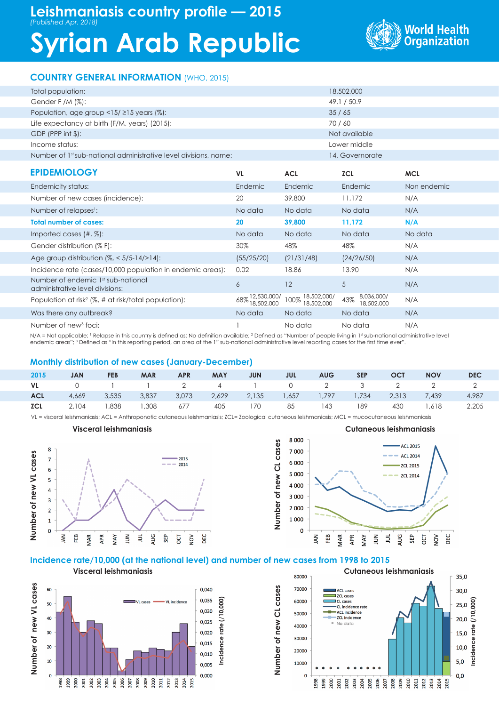# **Syrian Arab Republic**



## **COUNTRY GENERAL INFORMATION** (WHO, 2015)

| Total population:                                                     |                               | 18,502,000                        |                                 |             |  |  |
|-----------------------------------------------------------------------|-------------------------------|-----------------------------------|---------------------------------|-------------|--|--|
| Gender F /M (%):                                                      |                               | 49.1 / 50.9                       |                                 |             |  |  |
| Population, age group $\langle 15/215 \rangle$ years (%):             |                               | 35/65                             |                                 |             |  |  |
| Life expectancy at birth (F/M, years) (2015):                         |                               |                                   | 70/60                           |             |  |  |
| GDP (PPP int \$):                                                     |                               |                                   | Not available                   |             |  |  |
| Income status:                                                        |                               |                                   | Lower middle                    |             |  |  |
| Number of 1st sub-national administrative level divisions, name:      |                               |                                   | 14, Governorate                 |             |  |  |
| <b>EPIDEMIOLOGY</b>                                                   | VL                            | <b>ACL</b>                        | <b>ZCL</b>                      | <b>MCL</b>  |  |  |
| Endemicity status:                                                    | Endemic                       | Endemic                           | Endemic                         | Non endemic |  |  |
| Number of new cases (incidence):                                      | 20                            | 39,800                            | 11,172                          | N/A         |  |  |
| Number of relapses <sup>1</sup> :                                     | No data                       | No data                           | No data                         | N/A         |  |  |
| <b>Total number of cases:</b>                                         | 20                            | 39,800                            | 11,172                          | N/A         |  |  |
| Imported cases $(\#,\%)$ :                                            | No data                       | No data                           | No data                         | No data     |  |  |
| Gender distribution (% F):                                            | 30%                           | 48%                               | 48%                             | N/A         |  |  |
| Age group distribution $\frac{1}{6} \times 5/5$ -14/>14):             | (55/25/20)                    | (21/31/48)                        | (24/26/50)                      | N/A         |  |  |
| Incidence rate (cases/10,000 population in endemic areas):            | 0.02                          | 18.86                             | 13.90                           | N/A         |  |  |
| Number of endemic 1st sub-national<br>administrative level divisions: | 6                             | 12                                | 5                               | N/A         |  |  |
| Population at risk <sup>2</sup> ( $\%$ , # at risk/total population): | 68% 12,530,000/<br>18,502,000 | 18,502,000/<br>100%<br>18,502,000 | 8,036,000/<br>43%<br>18,502,000 | N/A         |  |  |
| Was there any outbreak?                                               | No data                       | No data                           | No data                         | N/A         |  |  |
| Number of new <sup>3</sup> foci:                                      |                               | No data                           | No data                         | N/A         |  |  |

N/A = Not applicable; 1 Relapse in this country is defined as: No definition available; 2 Defined as "Number of people living in 1st sub-national administrative level endemic areas"; 3 Defined as "In this reporting period, an area at the 1st sub-national administrative level reporting cases for the first time ever".

#### **Monthly distribution of new cases (January-December)**

| 2015       | <b>JAN</b>  | <b>FEB</b> | <b>MAR</b> | <b>APR</b> | <b>MAY</b> | <b>JUN</b>                                         | <b>JUL</b> | <b>AUG</b> | <b>SEP</b> | <b>OCT</b> | <b>NOV</b>                                      | <b>DEC</b> |
|------------|-------------|------------|------------|------------|------------|----------------------------------------------------|------------|------------|------------|------------|-------------------------------------------------|------------|
|            |             |            |            |            |            |                                                    |            |            |            |            | VL 0 1 1 2 4 1 0 2 3 2 2 2                      |            |
| <b>ACL</b> | 4,669 3,535 |            | 3,837      |            |            |                                                    |            |            |            |            | 3,073 2,629 2,135 1,657 1,797 1,734 2,313 7,439 | 4,987      |
| <b>ZCL</b> |             |            |            |            |            | 2,104 1,838 1,308 677 405 170 85 143 189 430 1,618 |            |            |            |            |                                                 | 2,205      |

**Number of new CL cases**

Number of new CL cases

VL = visceral leishmaniasis; ACL = Anthroponotic cutaneous leishmaniasis; ZCL= Zoological cutaneous leishmaniasis; MCL = mucocutaneous leishmaniasis



**Visceral leishmaniasis**



#### **Incidence rate/10,000 (at the national level) and number of new cases from 1998 to 2015**

Number of new VL cases **Number of new VL cases** 0,040 60 0,035 VL incidenc 10.000 **Incidence rate (/10,000) VI** cases 50 0,030 40 2  $0,025$  $rate$  $30$  $0.020$ Incidence  $0,015$  $20$  $0,010$ 10 0.005  $0,000$  $\mathbf{0}$